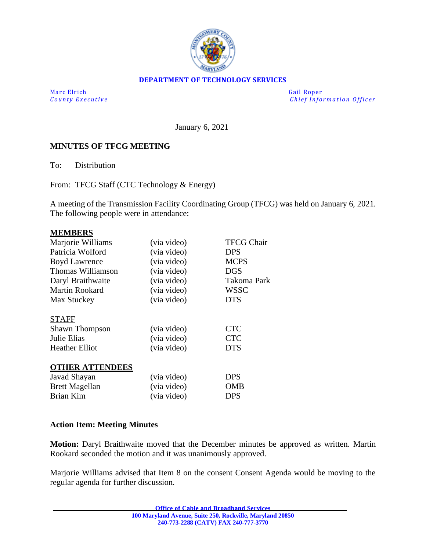

#### **DEPARTMENT OF TECHNOLOGY SERVICES**

Marc Elrich Gail Roper

*County Executive*  $\qquad \qquad \qquad$  Chief Information Officer

January 6, 2021

#### **MINUTES OF TFCG MEETING**

To: Distribution

From: TFCG Staff (CTC Technology & Energy)

A meeting of the Transmission Facility Coordinating Group (TFCG) was held on January 6, 2021. The following people were in attendance:

#### **MEMBERS**

| (via video)                               | <b>TFCG Chair</b>                      |
|-------------------------------------------|----------------------------------------|
| (via video)                               | DPS                                    |
| (via video)                               | <b>MCPS</b>                            |
| (via video)                               | <b>DGS</b>                             |
| (via video)                               | <b>Takoma Park</b>                     |
| (via video)                               | <b>WSSC</b>                            |
| (via video)                               | <b>DTS</b>                             |
| (via video)<br>(via video)<br>(via video) | <b>CTC</b><br><b>CTC</b><br><b>DTS</b> |
|                                           |                                        |
| (via video)                               | <b>DPS</b>                             |
| (via video)                               | OMB                                    |
| (via video)                               | DPS                                    |
|                                           |                                        |

#### **Action Item: Meeting Minutes**

**Motion:** Daryl Braithwaite moved that the December minutes be approved as written. Martin Rookard seconded the motion and it was unanimously approved.

Marjorie Williams advised that Item 8 on the consent Consent Agenda would be moving to the regular agenda for further discussion.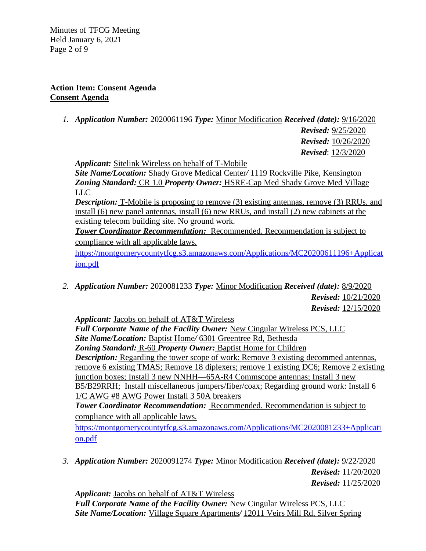Minutes of TFCG Meeting Held January 6, 2021 Page 2 of 9

### **Action Item: Consent Agenda Consent Agenda**

*1. Application Number:* 2020061196 *Type:* Minor Modification *Received (date):* 9/16/2020

*Revised:* 9/25/2020 *Revised:* 10/26/2020 *Revised*: 12/3/2020

*Applicant:* Sitelink Wireless on behalf of T-Mobile

*Site Name/Location:* Shady Grove Medical Center*/* 1119 Rockville Pike, Kensington *Zoning Standard:* CR 1.0 *Property Owner:* HSRE-Cap Med Shady Grove Med Village LLC

*Description:* T-Mobile is proposing to remove (3) existing antennas, remove (3) RRUs, and install (6) new panel antennas, install (6) new RRUs, and install (2) new cabinets at the existing telecom building site. No ground work.

**Tower Coordinator Recommendation:** Recommended. Recommendation is subject to compliance with all applicable laws.

[https://montgomerycountytfcg.s3.amazonaws.com/Applications/MC20200611196+Applicat](https://montgomerycountytfcg.s3.amazonaws.com/Applications/MC20200611196+Application.pdf) [ion.pdf](https://montgomerycountytfcg.s3.amazonaws.com/Applications/MC20200611196+Application.pdf)

*2. Application Number:* 2020081233 *Type:* Minor Modification *Received (date):* 8/9/2020  *Revised:* 10/21/2020  *Revised:* 12/15/2020

*Applicant:* Jacobs on behalf of AT&T Wireless

Full Corporate Name of the Facility Owner: New Cingular Wireless PCS, LLC *Site Name/Location:* Baptist Home*/* 6301 Greentree Rd, Bethesda *Zoning Standard:* R-60 *Property Owner:* Baptist Home for Children *Description:* Regarding the tower scope of work: Remove 3 existing decommed antennas, remove 6 existing TMAS; Remove 18 diplexers; remove 1 existing DC6; Remove 2 existing junction boxes; Install 3 new NNHH—65A-R4 Commscope antennas; Install 3 new B5/B29RRH; Install miscellaneous jumpers/fiber/coax; Regarding ground work: Install 6 1/C AWG #8 AWG Power Install 3 50A breakers

*Tower Coordinator Recommendation:* Recommended. Recommendation is subject to compliance with all applicable laws.

[https://montgomerycountytfcg.s3.amazonaws.com/Applications/MC2020081233+Applicati](https://montgomerycountytfcg.s3.amazonaws.com/Applications/MC2020081233+Application.pdf) [on.pdf](https://montgomerycountytfcg.s3.amazonaws.com/Applications/MC2020081233+Application.pdf)

*3. Application Number:* 2020091274 *Type:* Minor Modification *Received (date):* 9/22/2020  *Revised:* 11/20/2020  *Revised:* 11/25/2020

*Applicant:* Jacobs on behalf of AT&T Wireless Full Corporate Name of the Facility Owner: New Cingular Wireless PCS, LLC *Site Name/Location:* Village Square Apartments*/* 12011 Veirs Mill Rd, Silver Spring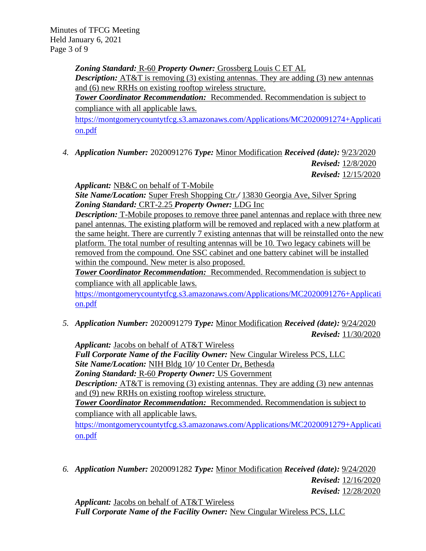Minutes of TFCG Meeting Held January 6, 2021 Page 3 of 9

> *Zoning Standard:* R-60 *Property Owner:* Grossberg Louis C ET AL *Description:* AT&T is removing (3) existing antennas. They are adding (3) new antennas and (6) new RRHs on existing rooftop wireless structure. *Tower Coordinator Recommendation:* Recommended. Recommendation is subject to

compliance with all applicable laws.

[https://montgomerycountytfcg.s3.amazonaws.com/Applications/MC2020091274+Applicati](https://montgomerycountytfcg.s3.amazonaws.com/Applications/MC2020091274+Application.pdf) [on.pdf](https://montgomerycountytfcg.s3.amazonaws.com/Applications/MC2020091274+Application.pdf)

*4. Application Number:* 2020091276 *Type:* Minor Modification *Received (date):* 9/23/2020  *Revised:* 12/8/2020  *Revised:* 12/15/2020

*Applicant:* NB&C on behalf of T-Mobile

*Site Name/Location:* Super Fresh Shopping Ctr.*/* 13830 Georgia Ave, Silver Spring *Zoning Standard:* CRT-2.25 *Property Owner:* LDG Inc

*Description:* T-Mobile proposes to remove three panel antennas and replace with three new panel antennas. The existing platform will be removed and replaced with a new platform at the same height. There are currently 7 existing antennas that will be reinstalled onto the new platform. The total number of resulting antennas will be 10. Two legacy cabinets will be removed from the compound. One SSC cabinet and one battery cabinet will be installed within the compound. New meter is also proposed.

*Tower Coordinator Recommendation:* Recommended. Recommendation is subject to compliance with all applicable laws.

[https://montgomerycountytfcg.s3.amazonaws.com/Applications/MC2020091276+Applicati](https://montgomerycountytfcg.s3.amazonaws.com/Applications/MC2020091276+Application.pdf) [on.pdf](https://montgomerycountytfcg.s3.amazonaws.com/Applications/MC2020091276+Application.pdf)

*5. Application Number:* 2020091279 *Type:* Minor Modification *Received (date):* 9/24/2020  *Revised:* 11/30/2020

*Applicant:* Jacobs on behalf of AT&T Wireless *Full Corporate Name of the Facility Owner:* New Cingular Wireless PCS, LLC *Site Name/Location:* NIH Bldg 10*/* 10 Center Dr, Bethesda *Zoning Standard:* R-60 *Property Owner:* US Government *Description:* AT&T is removing (3) existing antennas. They are adding (3) new antennas and (9) new RRHs on existing rooftop wireless structure. *Tower Coordinator Recommendation:* Recommended. Recommendation is subject to compliance with all applicable laws. [https://montgomerycountytfcg.s3.amazonaws.com/Applications/MC2020091279+Applicati](https://montgomerycountytfcg.s3.amazonaws.com/Applications/MC2020091279+Application.pdf) [on.pdf](https://montgomerycountytfcg.s3.amazonaws.com/Applications/MC2020091279+Application.pdf)

*6. Application Number:* 2020091282 *Type:* Minor Modification *Received (date):* 9/24/2020  *Revised:* 12/16/2020  *Revised:* 12/28/2020

*Applicant:* Jacobs on behalf of AT&T Wireless *Full Corporate Name of the Facility Owner: New Cingular Wireless PCS, LLC*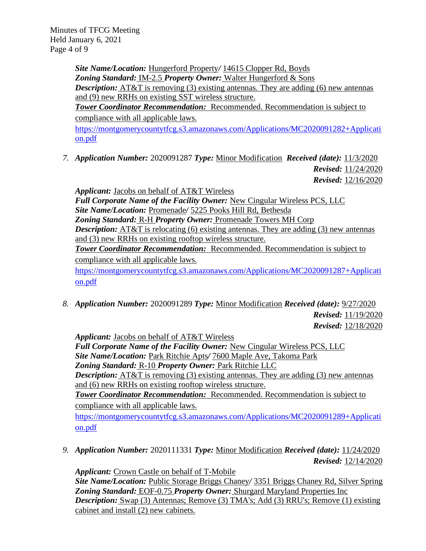Minutes of TFCG Meeting Held January 6, 2021 Page 4 of 9

> *Site Name/Location:* Hungerford Property*/* 14615 Clopper Rd, Boyds *Zoning Standard:* IM-2.5 *Property Owner:* Walter Hungerford & Sons *Description:* AT&T is removing (3) existing antennas. They are adding (6) new antennas and (9) new RRHs on existing SST wireless structure. *Tower Coordinator Recommendation:* Recommended. Recommendation is subject to compliance with all applicable laws.

[https://montgomerycountytfcg.s3.amazonaws.com/Applications/MC2020091282+Applicati](https://montgomerycountytfcg.s3.amazonaws.com/Applications/MC2020091282+Application.pdf) [on.pdf](https://montgomerycountytfcg.s3.amazonaws.com/Applications/MC2020091282+Application.pdf)

*7. Application Number:* 2020091287 *Type:* Minor Modification *Received (date):* 11/3/2020  *Revised:* 11/24/2020  *Revised:* 12/16/2020

*Applicant:* Jacobs on behalf of AT&T Wireless *Full Corporate Name of the Facility Owner:* New Cingular Wireless PCS, LLC *Site Name/Location:* Promenade*/* 5225 Pooks Hill Rd, Bethesda *Zoning Standard:* R-H *Property Owner:* Promenade Towers MH Corp *Description:* AT&T is relocating (6) existing antennas. They are adding (3) new antennas and (3) new RRHs on existing rooftop wireless structure. *Tower Coordinator Recommendation:* Recommended. Recommendation is subject to compliance with all applicable laws.

[https://montgomerycountytfcg.s3.amazonaws.com/Applications/MC2020091287+Applicati](https://montgomerycountytfcg.s3.amazonaws.com/Applications/MC2020091287+Application.pdf) [on.pdf](https://montgomerycountytfcg.s3.amazonaws.com/Applications/MC2020091287+Application.pdf)

*8. Application Number:* 2020091289 *Type:* Minor Modification *Received (date):* 9/27/2020  *Revised:* 11/19/2020  *Revised:* 12/18/2020

*Applicant:* Jacobs on behalf of AT&T Wireless *Full Corporate Name of the Facility Owner:* New Cingular Wireless PCS, LLC *Site Name/Location:* Park Ritchie Apts*/* 7600 Maple Ave, Takoma Park *Zoning Standard:* R-10 *Property Owner:* Park Ritchie LLC *Description:* AT&T is removing (3) existing antennas. They are adding (3) new antennas and (6) new RRHs on existing rooftop wireless structure. *Tower Coordinator Recommendation:* Recommended. Recommendation is subject to compliance with all applicable laws. [https://montgomerycountytfcg.s3.amazonaws.com/Applications/MC2020091289+Applicati](https://montgomerycountytfcg.s3.amazonaws.com/Applications/MC2020091289+Application.pdf) [on.pdf](https://montgomerycountytfcg.s3.amazonaws.com/Applications/MC2020091289+Application.pdf)

*9. Application Number:* 2020111331 *Type:* Minor Modification *Received (date):* 11/24/2020  *Revised:* 12/14/2020

*Applicant:* Crown Castle on behalf of T-Mobile *Site Name/Location:* Public Storage Briggs Chaney*/* 3351 Briggs Chaney Rd, Silver Spring *Zoning Standard:* EOF-0.75 *Property Owner:* Shurgard Maryland Properties Inc *Description:* Swap (3) Antennas; Remove (3) TMA's; Add (3) RRU's; Remove (1) existing cabinet and install (2) new cabinets.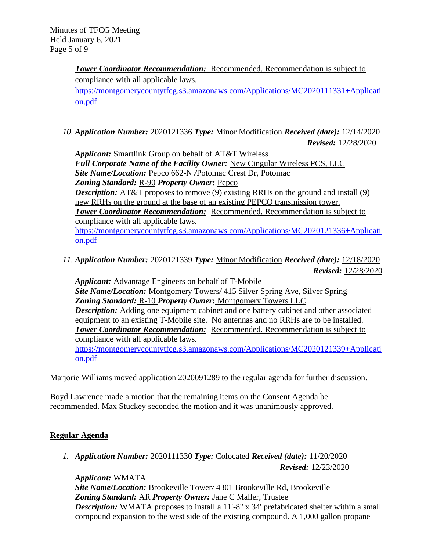*Tower Coordinator Recommendation:* Recommended. Recommendation is subject to compliance with all applicable laws. [https://montgomerycountytfcg.s3.amazonaws.com/Applications/MC2020111331+Applicati](https://montgomerycountytfcg.s3.amazonaws.com/Applications/MC2020111331+Application.pdf) [on.pdf](https://montgomerycountytfcg.s3.amazonaws.com/Applications/MC2020111331+Application.pdf)

*10. Application Number:* 2020121336 *Type:* Minor Modification *Received (date):* 12/14/2020  *Revised:* 12/28/2020

*Applicant:* Smartlink Group on behalf of AT&T Wireless *Full Corporate Name of the Facility Owner:* New Cingular Wireless PCS, LLC *Site Name/Location:* Pepco 662-N */*Potomac Crest Dr, Potomac *Zoning Standard:* R-90 *Property Owner:* Pepco **Description:** AT&T proposes to remove (9) existing RRHs on the ground and install (9) new RRHs on the ground at the base of an existing PEPCO transmission tower. *Tower Coordinator Recommendation:* Recommended. Recommendation is subject to compliance with all applicable laws. [https://montgomerycountytfcg.s3.amazonaws.com/Applications/MC2020121336+Applicati](https://montgomerycountytfcg.s3.amazonaws.com/Applications/MC2020121336+Application.pdf) [on.pdf](https://montgomerycountytfcg.s3.amazonaws.com/Applications/MC2020121336+Application.pdf)

*11. Application Number:* 2020121339 *Type:* Minor Modification *Received (date):* 12/18/2020 *Revised:* 12/28/2020

*Applicant:* Advantage Engineers on behalf of T-Mobile *Site Name/Location:* Montgomery Towers*/* 415 Silver Spring Ave, Silver Spring *Zoning Standard:* R-10 *Property Owner:* Montgomery Towers LLC *Description:* Adding one equipment cabinet and one battery cabinet and other associated equipment to an existing T-Mobile site. No antennas and no RRHs are to be installed. *Tower Coordinator Recommendation:* Recommended. Recommendation is subject to compliance with all applicable laws. [https://montgomerycountytfcg.s3.amazonaws.com/Applications/MC2020121339+Applicati](https://montgomerycountytfcg.s3.amazonaws.com/Applications/MC2020121339+Application.pdf)

Marjorie Williams moved application 2020091289 to the regular agenda for further discussion.

Boyd Lawrence made a motion that the remaining items on the Consent Agenda be recommended. Max Stuckey seconded the motion and it was unanimously approved.

# **Regular Agenda**

[on.pdf](https://montgomerycountytfcg.s3.amazonaws.com/Applications/MC2020121339+Application.pdf)

*1. Application Number:* 2020111330 *Type:* Colocated *Received (date):* 11/20/2020  *Revised:* 12/23/2020

*Applicant:* WMATA *Site Name/Location:* Brookeville Tower*/* 4301 Brookeville Rd, Brookeville *Zoning Standard:* AR *Property Owner:* Jane C Maller, Trustee **Description:** WMATA proposes to install a 11'-8" x 34' prefabricated shelter within a small compound expansion to the west side of the existing compound. A 1,000 gallon propane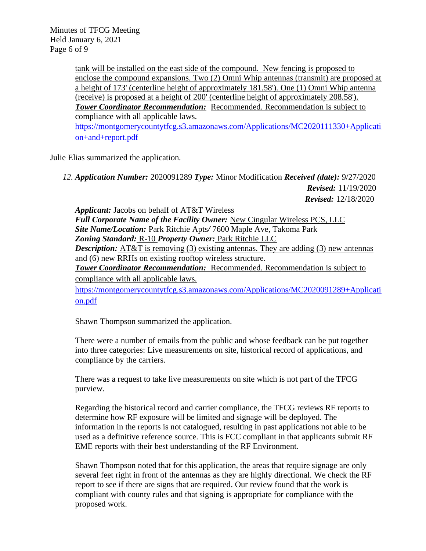Minutes of TFCG Meeting Held January 6, 2021 Page 6 of 9

> tank will be installed on the east side of the compound. New fencing is proposed to enclose the compound expansions. Two (2) Omni Whip antennas (transmit) are proposed at a height of 173' (centerline height of approximately 181.58'). One (1) Omni Whip antenna (receive) is proposed at a height of 200' (centerline height of approximately 208.58'). *Tower Coordinator Recommendation:* Recommended. Recommendation is subject to compliance with all applicable laws. [https://montgomerycountytfcg.s3.amazonaws.com/Applications/MC2020111330+Applicati](https://montgomerycountytfcg.s3.amazonaws.com/Applications/MC2020111330+Application+and+report.pdf) [on+and+report.pdf](https://montgomerycountytfcg.s3.amazonaws.com/Applications/MC2020111330+Application+and+report.pdf)

Julie Elias summarized the application.

*12. Application Number:* 2020091289 *Type:* Minor Modification *Received (date):* 9/27/2020  *Revised:* 11/19/2020  *Revised:* 12/18/2020

*Applicant:* Jacobs on behalf of AT&T Wireless *Full Corporate Name of the Facility Owner:* New Cingular Wireless PCS, LLC *Site Name/Location:* Park Ritchie Apts*/* 7600 Maple Ave, Takoma Park *Zoning Standard:* R-10 *Property Owner:* Park Ritchie LLC *Description:* AT&T is removing (3) existing antennas. They are adding (3) new antennas and (6) new RRHs on existing rooftop wireless structure. *Tower Coordinator Recommendation:* Recommended. Recommendation is subject to compliance with all applicable laws.

[https://montgomerycountytfcg.s3.amazonaws.com/Applications/MC2020091289+Applicati](https://montgomerycountytfcg.s3.amazonaws.com/Applications/MC2020091289+Application.pdf) [on.pdf](https://montgomerycountytfcg.s3.amazonaws.com/Applications/MC2020091289+Application.pdf)

Shawn Thompson summarized the application.

There were a number of emails from the public and whose feedback can be put together into three categories: Live measurements on site, historical record of applications, and compliance by the carriers.

There was a request to take live measurements on site which is not part of the TFCG purview.

Regarding the historical record and carrier compliance, the TFCG reviews RF reports to determine how RF exposure will be limited and signage will be deployed. The information in the reports is not catalogued, resulting in past applications not able to be used as a definitive reference source. This is FCC compliant in that applicants submit RF EME reports with their best understanding of the RF Environment.

Shawn Thompson noted that for this application, the areas that require signage are only several feet right in front of the antennas as they are highly directional. We check the RF report to see if there are signs that are required. Our review found that the work is compliant with county rules and that signing is appropriate for compliance with the proposed work.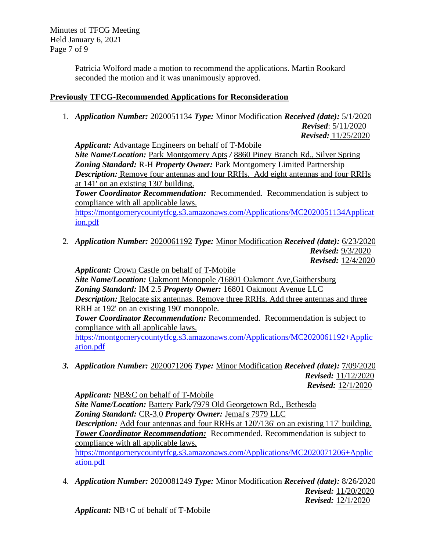Minutes of TFCG Meeting Held January 6, 2021 Page 7 of 9

> Patricia Wolford made a motion to recommend the applications. Martin Rookard seconded the motion and it was unanimously approved.

## **Previously TFCG-Recommended Applications for Reconsideration**

1. *Application Number:* 2020051134 *Type:* Minor Modification *Received (date):* 5/1/2020

 *Revised*: 5/11/2020 *Revised:* 11/25/2020

*Applicant:* Advantage Engineers on behalf of T-Mobile

*Site Name/Location:* Park Montgomery Apts */* 8860 Piney Branch Rd., Silver Spring *Zoning Standard:* R-H *Property Owner:* Park Montgomery Limited Partnership *Description:* Remove four antennas and four RRHs. Add eight antennas and four RRHs at 141' on an existing 130' building.

**Tower Coordinator Recommendation:** Recommended. Recommendation is subject to compliance with all applicable laws.

[https://montgomerycountytfcg.s3.amazonaws.com/Applications/MC2020051134Applicat](https://montgomerycountytfcg.s3.amazonaws.com/Applications/MC2020051134Application.pdf) [ion.pdf](https://montgomerycountytfcg.s3.amazonaws.com/Applications/MC2020051134Application.pdf)

2. *Application Number:* 2020061192 *Type:* Minor Modification *Received (date):* 6/23/2020 *Revised:* 9/3/2020 *Revised:* 12/4/2020

*Applicant:* Crown Castle on behalf of T-Mobile

*Site Name/Location:* Oakmont Monopole */*16801 Oakmont Ave,Gaithersburg *Zoning Standard:* IM 2.5 *Property Owner:* 16801 Oakmont Avenue LLC *Description:* Relocate six antennas. Remove three RRHs. Add three antennas and three RRH at 192' on an existing 190' monopole.

**Tower Coordinator Recommendation:** Recommended. Recommendation is subject to compliance with all applicable laws.

[https://montgomerycountytfcg.s3.amazonaws.com/Applications/MC2020061192+Applic](https://montgomerycountytfcg.s3.amazonaws.com/Applications/MC2020061192+Application.pdf) [ation.pdf](https://montgomerycountytfcg.s3.amazonaws.com/Applications/MC2020061192+Application.pdf)

*3. Application Number:* 2020071206 *Type:* Minor Modification *Received (date):* 7/09/2020  *Revised:* 11/12/2020  *Revised:* 12/1/2020

*Applicant:* NB&C on behalf of T-Mobile *Site Name/Location:* Battery Park*/*7979 Old Georgetown Rd., Bethesda *Zoning Standard:* CR-3.0 *Property Owner:* Jemal's 7979 LLC *Description:* Add four antennas and four RRHs at 120/136' on an existing 117' building. *Tower Coordinator Recommendation:* Recommended. Recommendation is subject to compliance with all applicable laws.

[https://montgomerycountytfcg.s3.amazonaws.com/Applications/MC2020071206+Applic](https://montgomerycountytfcg.s3.amazonaws.com/Applications/MC2020071206+Application.pdf) [ation.pdf](https://montgomerycountytfcg.s3.amazonaws.com/Applications/MC2020071206+Application.pdf)

4. *Application Number:* 2020081249 *Type:* Minor Modification *Received (date):* 8/26/2020  *Revised:* 11/20/2020  *Revised:* 12/1/2020

*Applicant:* NB+C of behalf of T-Mobile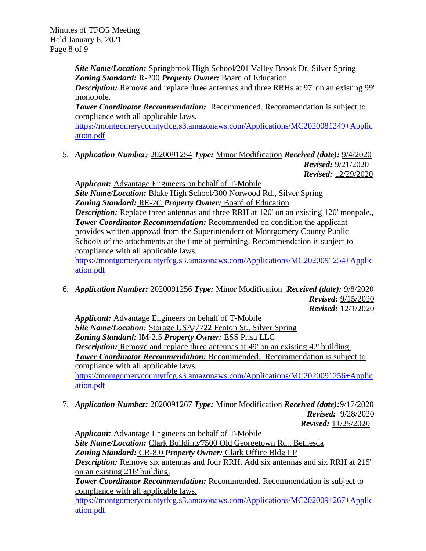*Site Name/Location:* Springbrook High School*/*201 Valley Brook Dr, Silver Spring *Zoning Standard:* R-200 *Property Owner:* Board of Education

**Description:** Remove and replace three antennas and three RRHs at 97' on an existing 99' monopole.

**Tower Coordinator Recommendation:** Recommended. Recommendation is subject to compliance with all applicable laws.

[https://montgomerycountytfcg.s3.amazonaws.com/Applications/MC2020081249+Applic](https://montgomerycountytfcg.s3.amazonaws.com/Applications/MC2020081249+Application.pdf) [ation.pdf](https://montgomerycountytfcg.s3.amazonaws.com/Applications/MC2020081249+Application.pdf)

5. *Application Number:* 2020091254 *Type:* Minor Modification *Received (date):* 9/4/2020 *Revised:* 9/21/2020 *Revised:* 12/29/2020

*Applicant:* Advantage Engineers on behalf of T-Mobile *Site Name/Location:* Blake High School*/*300 Norwood Rd., Silver Spring *Zoning Standard:* RE-2C *Property Owner:* Board of Education *Description:* Replace three antennas and three RRH at 120' on an existing 120' monpole., **Tower Coordinator Recommendation:** Recommended on condition the applicant provides written approval from the Superintendent of Montgomery County Public Schools of the attachments at the time of permitting. Recommendation is subject to compliance with all applicable laws. [https://montgomerycountytfcg.s3.amazonaws.com/Applications/MC2020091254+Applic](https://montgomerycountytfcg.s3.amazonaws.com/Applications/MC2020091254+Application.pdf) [ation.pdf](https://montgomerycountytfcg.s3.amazonaws.com/Applications/MC2020091254+Application.pdf)

6. *Application Number:* 2020091256 *Type:* Minor Modification *Received (date):* 9/8/2020 *Revised:* 9/15/2020  *Revised:* 12/1/2020

*Applicant:* Advantage Engineers on behalf of T-Mobile *Site Name/Location:* Storage USA*/*7722 Fenton St., Silver Spring *Zoning Standard:* IM-2.5 *Property Owner:* ESS Prisa LLC *Description:* Remove and replace three antennas at 49' on an existing 42' building. *Tower Coordinator Recommendation:* Recommended. Recommendation is subject to compliance with all applicable laws. [https://montgomerycountytfcg.s3.amazonaws.com/Applications/MC2020091256+Applic](https://montgomerycountytfcg.s3.amazonaws.com/Applications/MC2020091256+Application.pdf) [ation.pdf](https://montgomerycountytfcg.s3.amazonaws.com/Applications/MC2020091256+Application.pdf)

7. *Application Number:* 2020091267 *Type:* Minor Modification *Received (date):*9/17/2020  *Revised:* 9/28/2020  *Revised:* 11/25/2020

*Applicant:* Advantage Engineers on behalf of T-Mobile *Site Name/Location:* Clark Building*/*7500 Old Georgetown Rd., Bethesda *Zoning Standard:* CR-8.0 *Property Owner:* Clark Office Bldg LP *Description:* Remove six antennas and four RRH. Add six antennas and six RRH at 215' on an existing 216' building.

*Tower Coordinator Recommendation:* Recommended. Recommendation is subject to compliance with all applicable laws.

[https://montgomerycountytfcg.s3.amazonaws.com/Applications/MC2020091267+Applic](https://montgomerycountytfcg.s3.amazonaws.com/Applications/MC2020091267+Application.pdf) [ation.pdf](https://montgomerycountytfcg.s3.amazonaws.com/Applications/MC2020091267+Application.pdf)